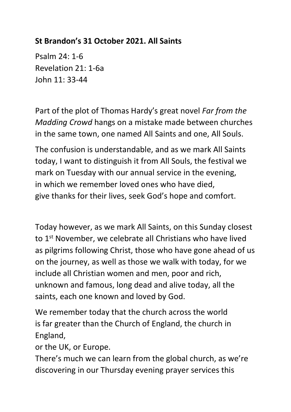## **St Brandon's 31 October 2021. All Saints**

Psalm 24: 1-6 Revelation 21: 1-6a John 11: 33-44

Part of the plot of Thomas Hardy's great novel *Far from the Madding Crowd* hangs on a mistake made between churches in the same town, one named All Saints and one, All Souls.

The confusion is understandable, and as we mark All Saints today, I want to distinguish it from All Souls, the festival we mark on Tuesday with our annual service in the evening, in which we remember loved ones who have died, give thanks for their lives, seek God's hope and comfort.

Today however, as we mark All Saints, on this Sunday closest to 1<sup>st</sup> November, we celebrate all Christians who have lived as pilgrims following Christ, those who have gone ahead of us on the journey, as well as those we walk with today, for we include all Christian women and men, poor and rich, unknown and famous, long dead and alive today, all the saints, each one known and loved by God.

We remember today that the church across the world is far greater than the Church of England, the church in England,

or the UK, or Europe.

There's much we can learn from the global church, as we're discovering in our Thursday evening prayer services this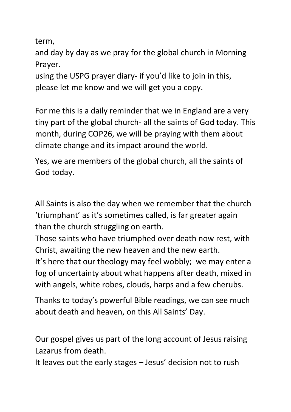term,

and day by day as we pray for the global church in Morning Prayer.

using the USPG prayer diary- if you'd like to join in this, please let me know and we will get you a copy.

For me this is a daily reminder that we in England are a very tiny part of the global church- all the saints of God today. This month, during COP26, we will be praying with them about climate change and its impact around the world.

Yes, we are members of the global church, all the saints of God today.

All Saints is also the day when we remember that the church 'triumphant' as it's sometimes called, is far greater again than the church struggling on earth.

Those saints who have triumphed over death now rest, with Christ, awaiting the new heaven and the new earth.

It's here that our theology may feel wobbly; we may enter a fog of uncertainty about what happens after death, mixed in with angels, white robes, clouds, harps and a few cherubs.

Thanks to today's powerful Bible readings, we can see much about death and heaven, on this All Saints' Day.

Our gospel gives us part of the long account of Jesus raising Lazarus from death.

It leaves out the early stages – Jesus' decision not to rush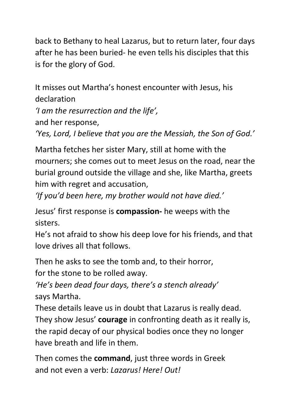back to Bethany to heal Lazarus, but to return later, four days after he has been buried- he even tells his disciples that this is for the glory of God.

It misses out Martha's honest encounter with Jesus, his declaration

*'I am the resurrection and the life',*

and her response,

*'Yes, Lord, I believe that you are the Messiah, the Son of God.'*

Martha fetches her sister Mary, still at home with the mourners; she comes out to meet Jesus on the road, near the burial ground outside the village and she, like Martha, greets him with regret and accusation,

*'If you'd been here, my brother would not have died.'*

Jesus' first response is **compassion-** he weeps with the sisters.

He's not afraid to show his deep love for his friends, and that love drives all that follows.

Then he asks to see the tomb and, to their horror,

for the stone to be rolled away.

*'He's been dead four days, there's a stench already'* says Martha.

These details leave us in doubt that Lazarus is really dead. They show Jesus' **courage** in confronting death as it really is, the rapid decay of our physical bodies once they no longer have breath and life in them.

Then comes the **command**, just three words in Greek and not even a verb: *Lazarus! Here! Out!*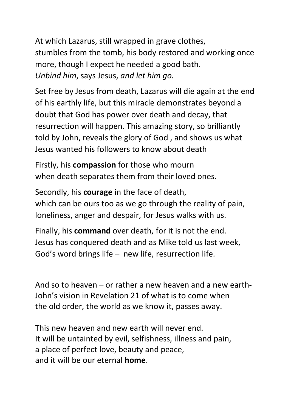At which Lazarus, still wrapped in grave clothes, stumbles from the tomb, his body restored and working once more, though I expect he needed a good bath. *Unbind him*, says Jesus, *and let him go.*

Set free by Jesus from death, Lazarus will die again at the end of his earthly life, but this miracle demonstrates beyond a doubt that God has power over death and decay, that resurrection will happen. This amazing story, so brilliantly told by John, reveals the glory of God , and shows us what Jesus wanted his followers to know about death

Firstly, his **compassion** for those who mourn when death separates them from their loved ones.

Secondly, his **courage** in the face of death, which can be ours too as we go through the reality of pain, loneliness, anger and despair, for Jesus walks with us.

Finally, his **command** over death, for it is not the end. Jesus has conquered death and as Mike told us last week, God's word brings life – new life, resurrection life.

And so to heaven – or rather a new heaven and a new earth-John's vision in Revelation 21 of what is to come when the old order, the world as we know it, passes away.

This new heaven and new earth will never end. It will be untainted by evil, selfishness, illness and pain, a place of perfect love, beauty and peace, and it will be our eternal **home**.